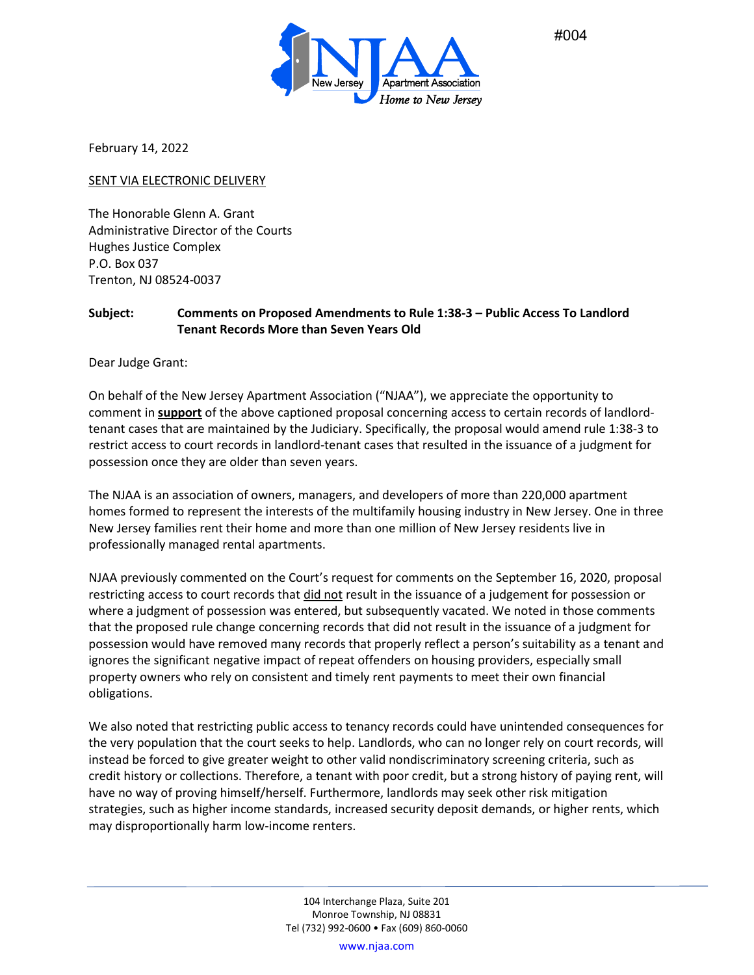

February 14, 2022

SENT VIA ELECTRONIC DELIVERY

The Honorable Glenn A. Grant Administrative Director of the Courts Hughes Justice Complex P.O. Box 037 Trenton, NJ 08524-0037

## **Subject: Comments on Proposed Amendments to Rule 1:38-3 – Public Access To Landlord Tenant Records More than Seven Years Old**

Dear Judge Grant:

On behalf of the New Jersey Apartment Association ("NJAA"), we appreciate the opportunity to comment in **support** of the above captioned proposal concerning access to certain records of landlordtenant cases that are maintained by the Judiciary. Specifically, the proposal would amend rule 1:38-3 to restrict access to court records in landlord-tenant cases that resulted in the issuance of a judgment for possession once they are older than seven years.

The NJAA is an association of owners, managers, and developers of more than 220,000 apartment homes formed to represent the interests of the multifamily housing industry in New Jersey. One in three New Jersey families rent their home and more than one million of New Jersey residents live in professionally managed rental apartments.

NJAA previously commented on the Court's request for comments on the September 16, 2020, proposal restricting access to court records that did not result in the issuance of a judgement for possession or where a judgment of possession was entered, but subsequently vacated. We noted in those comments that the proposed rule change concerning records that did not result in the issuance of a judgment for possession would have removed many records that properly reflect a person's suitability as a tenant and ignores the significant negative impact of repeat offenders on housing providers, especially small property owners who rely on consistent and timely rent payments to meet their own financial obligations.

We also noted that restricting public access to tenancy records could have unintended consequences for the very population that the court seeks to help. Landlords, who can no longer rely on court records, will instead be forced to give greater weight to other valid nondiscriminatory screening criteria, such as credit history or collections. Therefore, a tenant with poor credit, but a strong history of paying rent, will have no way of proving himself/herself. Furthermore, landlords may seek other risk mitigation strategies, such as higher income standards, increased security deposit demands, or higher rents, which may disproportionally harm low-income renters.